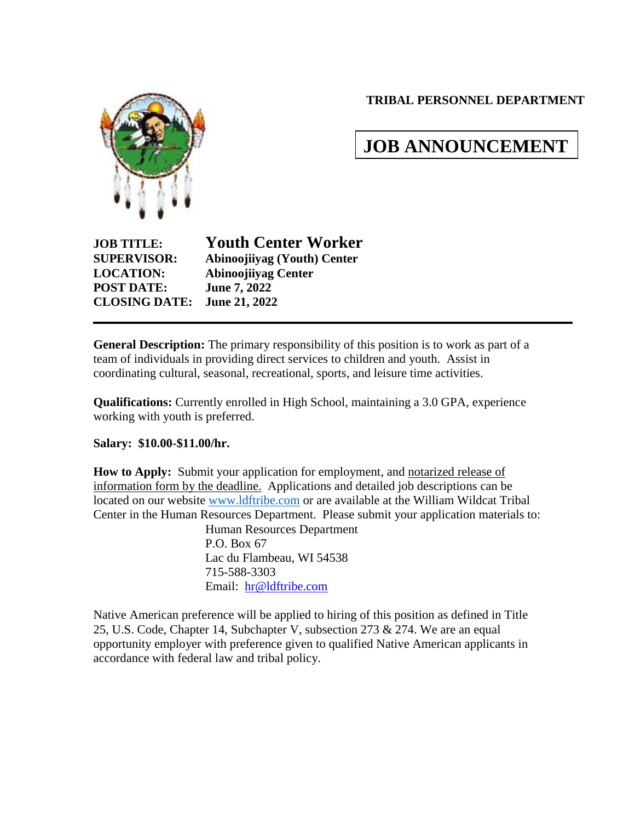**TRIBAL PERSONNEL DEPARTMENT**



# **JOB ANNOUNCEMENT**

**POST DATE: June 7, 2022 CLOSING DATE: June 21, 2022**

**JOB TITLE: Youth Center Worker SUPERVISOR: Abinoojiiyag (Youth) Center LOCATION: Abinoojiiyag Center**

**General Description:** The primary responsibility of this position is to work as part of a team of individuals in providing direct services to children and youth. Assist in coordinating cultural, seasonal, recreational, sports, and leisure time activities.

**Qualifications:** Currently enrolled in High School, maintaining a 3.0 GPA, experience working with youth is preferred.

**Salary: \$10.00-\$11.00/hr.**

**How to Apply:** Submit your application for employment, and notarized release of information form by the deadline. Applications and detailed job descriptions can be located on our website [www.ldftribe.com](http://www.ldftribe.com/) or are available at the William Wildcat Tribal Center in the Human Resources Department. Please submit your application materials to:

Human Resources Department P.O. Box 67 Lac du Flambeau, WI 54538 715-588-3303 Email: [hr@ldftribe.com](mailto:hr@ldftribe.com)

Native American preference will be applied to hiring of this position as defined in Title 25, U.S. Code, Chapter 14, Subchapter V, subsection 273 & 274. We are an equal opportunity employer with preference given to qualified Native American applicants in accordance with federal law and tribal policy.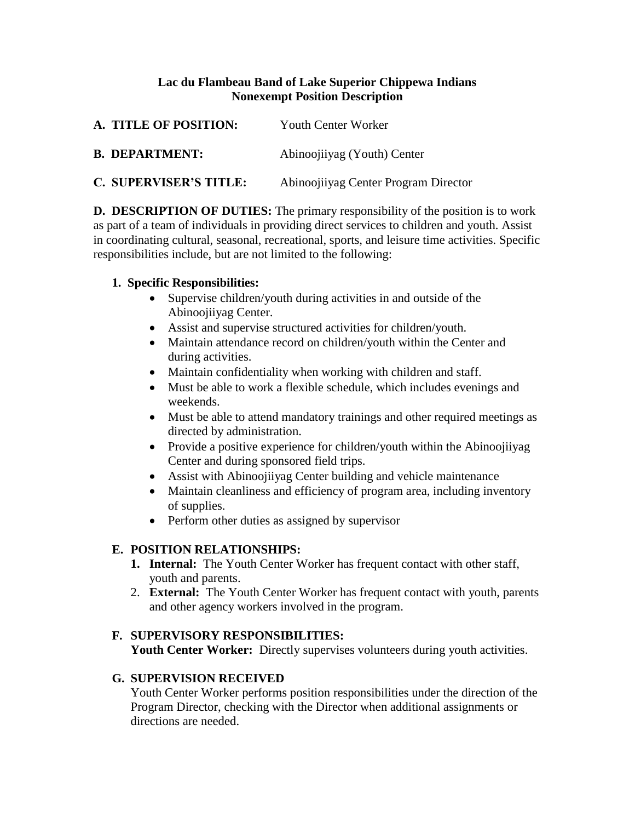## **Lac du Flambeau Band of Lake Superior Chippewa Indians Nonexempt Position Description**

| A. TITLE OF POSITION:         | Youth Center Worker                  |
|-------------------------------|--------------------------------------|
| <b>B. DEPARTMENT:</b>         | Abinoojiiyag (Youth) Center          |
| <b>C. SUPERVISER'S TITLE:</b> | Abinoojiiyag Center Program Director |

**D. DESCRIPTION OF DUTIES:** The primary responsibility of the position is to work as part of a team of individuals in providing direct services to children and youth. Assist in coordinating cultural, seasonal, recreational, sports, and leisure time activities. Specific responsibilities include, but are not limited to the following:

## **1. Specific Responsibilities:**

- Supervise children/youth during activities in and outside of the Abinoojiiyag Center.
- Assist and supervise structured activities for children/youth.
- Maintain attendance record on children/youth within the Center and during activities.
- Maintain confidentiality when working with children and staff.
- Must be able to work a flexible schedule, which includes evenings and weekends.
- Must be able to attend mandatory trainings and other required meetings as directed by administration.
- Provide a positive experience for children/youth within the Abinoojiiyag Center and during sponsored field trips.
- Assist with Abinoojiiyag Center building and vehicle maintenance
- Maintain cleanliness and efficiency of program area, including inventory of supplies.
- Perform other duties as assigned by supervisor

# **E. POSITION RELATIONSHIPS:**

- **1. Internal:** The Youth Center Worker has frequent contact with other staff, youth and parents.
- 2. **External:** The Youth Center Worker has frequent contact with youth, parents and other agency workers involved in the program.

## **F. SUPERVISORY RESPONSIBILITIES:**

Youth Center Worker: Directly supervises volunteers during youth activities.

# **G. SUPERVISION RECEIVED**

Youth Center Worker performs position responsibilities under the direction of the Program Director, checking with the Director when additional assignments or directions are needed.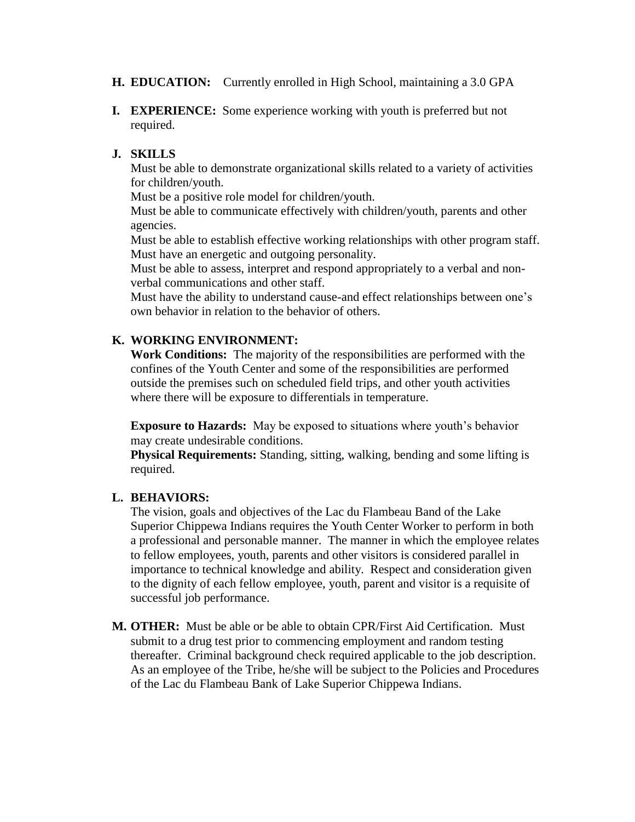#### **H. EDUCATION:** Currently enrolled in High School, maintaining a 3.0 GPA

**I. EXPERIENCE:** Some experience working with youth is preferred but not required.

#### **J. SKILLS**

Must be able to demonstrate organizational skills related to a variety of activities for children/youth.

Must be a positive role model for children/youth.

Must be able to communicate effectively with children/youth, parents and other agencies.

Must be able to establish effective working relationships with other program staff. Must have an energetic and outgoing personality.

Must be able to assess, interpret and respond appropriately to a verbal and nonverbal communications and other staff.

Must have the ability to understand cause-and effect relationships between one's own behavior in relation to the behavior of others.

#### **K. WORKING ENVIRONMENT:**

**Work Conditions:** The majority of the responsibilities are performed with the confines of the Youth Center and some of the responsibilities are performed outside the premises such on scheduled field trips, and other youth activities where there will be exposure to differentials in temperature.

**Exposure to Hazards:** May be exposed to situations where youth's behavior may create undesirable conditions.

**Physical Requirements:** Standing, sitting, walking, bending and some lifting is required.

#### **L. BEHAVIORS:**

The vision, goals and objectives of the Lac du Flambeau Band of the Lake Superior Chippewa Indians requires the Youth Center Worker to perform in both a professional and personable manner. The manner in which the employee relates to fellow employees, youth, parents and other visitors is considered parallel in importance to technical knowledge and ability. Respect and consideration given to the dignity of each fellow employee, youth, parent and visitor is a requisite of successful job performance.

**M. OTHER:** Must be able or be able to obtain CPR/First Aid Certification. Must submit to a drug test prior to commencing employment and random testing thereafter. Criminal background check required applicable to the job description. As an employee of the Tribe, he/she will be subject to the Policies and Procedures of the Lac du Flambeau Bank of Lake Superior Chippewa Indians.